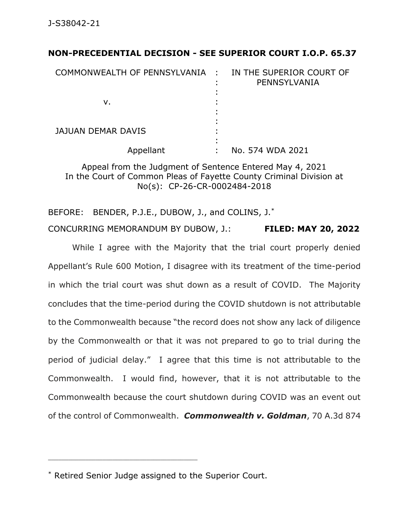## **NON-PRECEDENTIAL DECISION - SEE SUPERIOR COURT I.O.P. 65.37**

| COMMONWEALTH OF PENNSYLVANIA : |   | IN THE SUPERIOR COURT OF<br>PENNSYLVANIA |
|--------------------------------|---|------------------------------------------|
| ν.                             |   |                                          |
| <b>JAJUAN DEMAR DAVIS</b>      |   |                                          |
| Appellant                      | ٠ | No. 574 WDA 2021                         |

Appeal from the Judgment of Sentence Entered May 4, 2021 In the Court of Common Pleas of Fayette County Criminal Division at No(s): CP-26-CR-0002484-2018

BEFORE: BENDER, P.J.E., DUBOW, J., and COLINS, J.<sup>\*</sup> CONCURRING MEMORANDUM BY DUBOW, J.: **FILED: MAY 20, 2022**

While I agree with the Majority that the trial court properly denied Appellant's Rule 600 Motion, I disagree with its treatment of the time-period in which the trial court was shut down as a result of COVID. The Majority concludes that the time-period during the COVID shutdown is not attributable to the Commonwealth because "the record does not show any lack of diligence by the Commonwealth or that it was not prepared to go to trial during the period of judicial delay." I agree that this time is not attributable to the Commonwealth. I would find, however, that it is not attributable to the Commonwealth because the court shutdown during COVID was an event out of the control of Commonwealth. *Commonwealth v. Goldman*, 70 A.3d 874

\_\_\_\_\_\_\_\_\_\_\_\_\_\_\_\_\_\_\_\_\_\_\_\_\_\_\_\_\_\_\_\_\_\_\_\_\_\_\_\_\_\_\_\_

<sup>\*</sup> Retired Senior Judge assigned to the Superior Court.